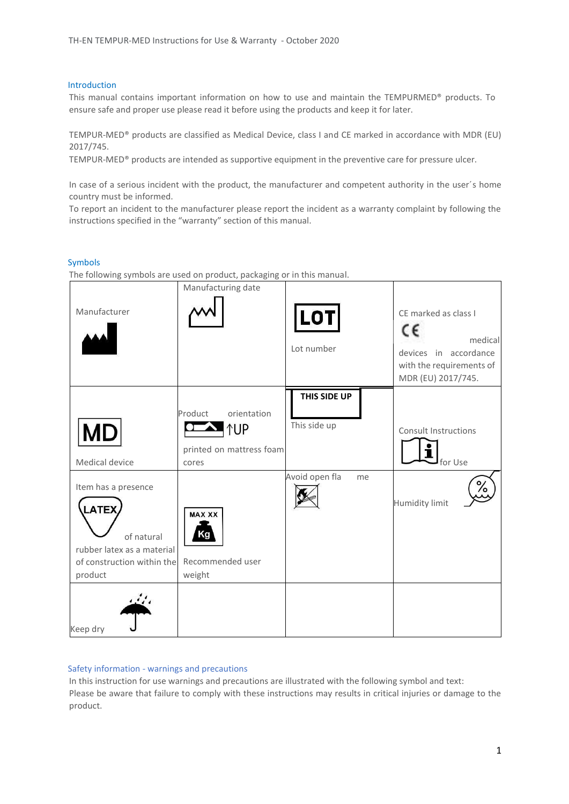#### Introduction

This manual contains important information on how to use and maintain the TEMPURMED® products. To ensure safe and proper use please read it before using the products and keep it for later.

TEMPUR-MED® products are classified as Medical Device, class I and CE marked in accordance with MDR (EU) 2017/745.

TEMPUR-MED® products are intended as supportive equipment in the preventive care for pressure ulcer.

In case of a serious incident with the product, the manufacturer and competent authority in the user´s home country must be informed.

To report an incident to the manufacturer please report the incident as a warranty complaint by following the instructions specified in the "warranty" section of this manual.

#### Symbols

The following symbols are used on product, packaging or in this manual.

| Manufacturer                                                                                                             | Manufacturing date                                                        | <b>LOT</b><br>Lot number     | CE marked as class I<br>c٤<br>medical<br>devices in accordance<br>with the requirements of<br>MDR (EU) 2017/745. |
|--------------------------------------------------------------------------------------------------------------------------|---------------------------------------------------------------------------|------------------------------|------------------------------------------------------------------------------------------------------------------|
| <b>MD</b><br>Medical device                                                                                              | orientation<br>Product<br><b>NUP</b><br>printed on mattress foam<br>cores | THIS SIDE UP<br>This side up | <b>Consult Instructions</b><br>for Use                                                                           |
| Item has a presence<br><b>LATEX</b><br>of natural<br>rubber latex as a material<br>of construction within the<br>product | <b>MAX XX</b><br>Ka<br>Recommended user<br>weight                         | Avoid open fla<br>me         | ∕ه<br><b>Humidity limit</b>                                                                                      |
| Keep dry                                                                                                                 |                                                                           |                              |                                                                                                                  |

## Safety information - warnings and precautions

In this instruction for use warnings and precautions are illustrated with the following symbol and text: Please be aware that failure to comply with these instructions may results in critical injuries or damage to the product.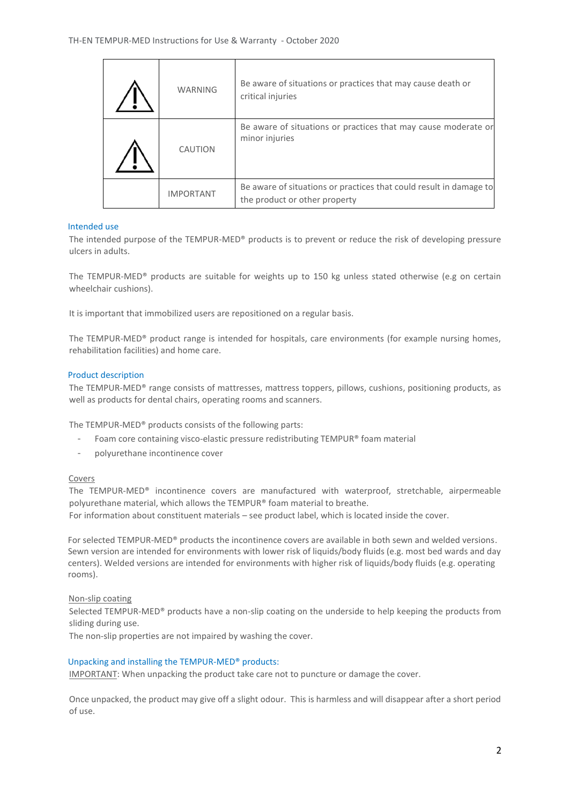| <b>WARNING</b>   | Be aware of situations or practices that may cause death or<br>critical injuries                    |
|------------------|-----------------------------------------------------------------------------------------------------|
| CAUTION          | Be aware of situations or practices that may cause moderate or<br>minor injuries                    |
| <b>IMPORTANT</b> | Be aware of situations or practices that could result in damage to<br>the product or other property |

## Intended use

 $\mathbf{r}$ 

The intended purpose of the TEMPUR-MED® products is to prevent or reduce the risk of developing pressure ulcers in adults.

The TEMPUR-MED® products are suitable for weights up to 150 kg unless stated otherwise (e.g on certain wheelchair cushions).

It is important that immobilized users are repositioned on a regular basis.

The TEMPUR-MED® product range is intended for hospitals, care environments (for example nursing homes, rehabilitation facilities) and home care.

## Product description

The TEMPUR-MED® range consists of mattresses, mattress toppers, pillows, cushions, positioning products, as well as products for dental chairs, operating rooms and scanners.

The TEMPUR-MED® products consists of the following parts:

- Foam core containing visco-elastic pressure redistributing TEMPUR® foam material
- polyurethane incontinence cover

## Covers

The TEMPUR-MED® incontinence covers are manufactured with waterproof, stretchable, airpermeable polyurethane material, which allows the TEMPUR® foam material to breathe. For information about constituent materials – see product label, which is located inside the cover.

For selected TEMPUR-MED® products the incontinence covers are available in both sewn and welded versions. Sewn version are intended for environments with lower risk of liquids/body fluids (e.g. most bed wards and day centers). Welded versions are intended for environments with higher risk of liquids/body fluids (e.g. operating rooms).

## Non-slip coating

Selected TEMPUR-MED® products have a non-slip coating on the underside to help keeping the products from sliding during use.

The non-slip properties are not impaired by washing the cover.

## Unpacking and installing the TEMPUR-MED® products:

IMPORTANT: When unpacking the product take care not to puncture or damage the cover.

Once unpacked, the product may give off a slight odour. This is harmless and will disappear after a short period of use.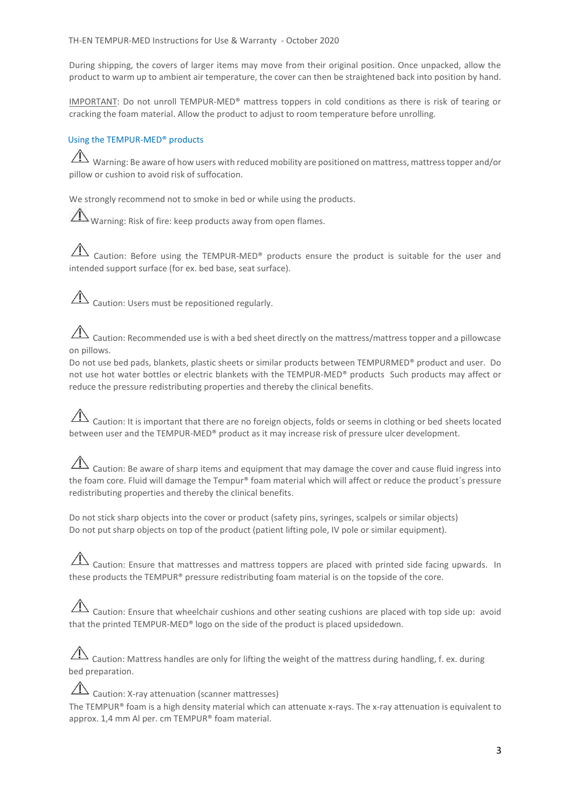During shipping, the covers of larger items may move from their original position. Once unpacked, allow the product to warm up to ambient air temperature, the cover can then be straightened back into position by hand.

IMPORTANT: Do not unroll TEMPUR-MED® mattress toppers in cold conditions as there is risk of tearing or cracking the foam material. Allow the product to adjust to room temperature before unrolling.

## Using the TEMPUR-MED® products

Warning: Be aware of how users with reduced mobility are positioned on mattress, mattress topper and/or pillow or cushion to avoid risk of suffocation.

We strongly recommend not to smoke in bed or while using the products.

Warning: Risk of fire: keep products away from open flames.

 $\overline{\mathcal{A}}$  Caution: Before using the TEMPUR-MED® products ensure the product is suitable for the user and intended support surface (for ex. bed base, seat surface).

 $\overline{\mathcal{A}}$  Caution: Users must be repositioned regularly.

Caution: Recommended use is with a bed sheet directly on the mattress/mattress topper and a pillowcase on pillows.

Do not use bed pads, blankets, plastic sheets or similar products between TEMPURMED® product and user. Do not use hot water bottles or electric blankets with the TEMPUR-MED® products Such products may affect or reduce the pressure redistributing properties and thereby the clinical benefits.

# $\overline{\triangle}$  Caution: It is important that there are no foreign objects, folds or seems in clothing or bed sheets located between user and the TEMPUR-MED® product as it may increase risk of pressure ulcer development.

 $\hat{\triangle}$  Caution: Be aware of sharp items and equipment that may damage the cover and cause fluid ingress into the foam core. Fluid will damage the Tempur® foam material which will affect or reduce the product's pressure redistributing properties and thereby the clinical benefits.

Do not stick sharp objects into the cover or product (safety pins, syringes, scalpels or similar objects) Do not put sharp objects on top of the product (patient lifting pole, IV pole or similar equipment).

 $\sqrt{12}$  Caution: Ensure that mattresses and mattress toppers are placed with printed side facing upwards. In these products the TEMPUR® pressure redistributing foam material is on the topside of the core.

 $\Box$  Caution: Ensure that wheelchair cushions and other seating cushions are placed with top side up: avoid that the printed TEMPUR-MED® logo on the side of the product is placed upsidedown.

 $\hat{A}$  Caution: Mattress handles are only for lifting the weight of the mattress during handling, f. ex. during bed preparation.

 $\overline{\Delta}$  Caution: X-ray attenuation (scanner mattresses) The TEMPUR® foam is a high density material which can attenuate x-rays. The x-ray attenuation is equivalent to approx. 1,4 mm Al per. cm TEMPUR® foam material.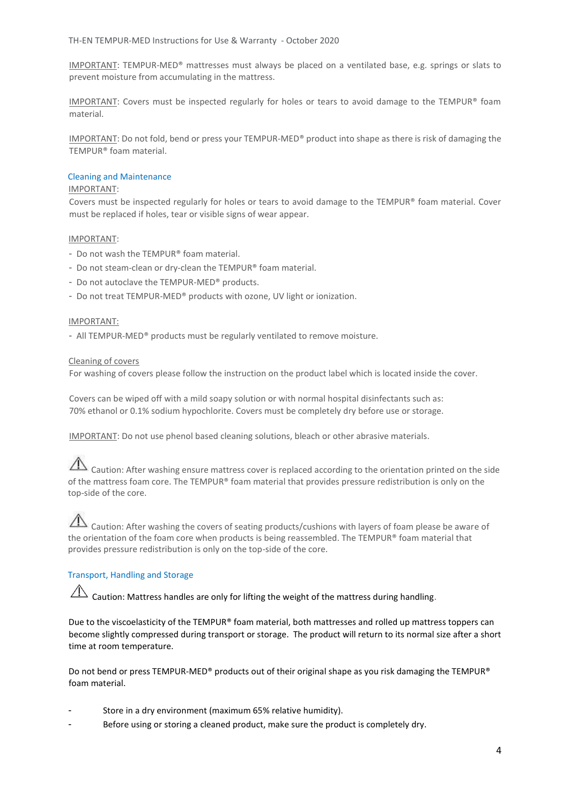IMPORTANT: TEMPUR-MED® mattresses must always be placed on a ventilated base, e.g. springs or slats to prevent moisture from accumulating in the mattress.

IMPORTANT: Covers must be inspected regularly for holes or tears to avoid damage to the TEMPUR® foam material.

IMPORTANT: Do not fold, bend or press your TEMPUR-MED® product into shape as there is risk of damaging the TEMPUR® foam material.

## Cleaning and Maintenance

#### IMPORTANT:

Covers must be inspected regularly for holes or tears to avoid damage to the TEMPUR® foam material. Cover must be replaced if holes, tear or visible signs of wear appear.

## IMPORTANT:

- Do not wash the TEMPUR® foam material.
- Do not steam-clean or dry-clean the TEMPUR® foam material.
- Do not autoclave the TEMPUR-MED® products.
- Do not treat TEMPUR-MED® products with ozone, UV light or ionization.

#### IMPORTANT:

- All TEMPUR-MED® products must be regularly ventilated to remove moisture.

#### Cleaning of covers

For washing of covers please follow the instruction on the product label which is located inside the cover.

Covers can be wiped off with a mild soapy solution or with normal hospital disinfectants such as: 70% ethanol or 0.1% sodium hypochlorite. Covers must be completely dry before use or storage.

IMPORTANT: Do not use phenol based cleaning solutions, bleach or other abrasive materials.

 $\Lambda$  Caution: After washing ensure mattress cover is replaced according to the orientation printed on the side of the mattress foam core. The TEMPUR® foam material that provides pressure redistribution is only on the top-side of the core.

## Caution: After washing the covers of seating products/cushions with layers of foam please be aware of the orientation of the foam core when products is being reassembled. The TEMPUR® foam material that provides pressure redistribution is only on the top-side of the core.

## Transport, Handling and Storage

 $\hat{\Lambda}$  Caution: Mattress handles are only for lifting the weight of the mattress during handling.

Due to the viscoelasticity of the TEMPUR® foam material, both mattresses and rolled up mattress toppers can become slightly compressed during transport or storage. The product will return to its normal size after a short time at room temperature.

Do not bend or press TEMPUR-MED® products out of their original shape as you risk damaging the TEMPUR® foam material.

- Store in a dry environment (maximum 65% relative humidity).
- Before using or storing a cleaned product, make sure the product is completely dry.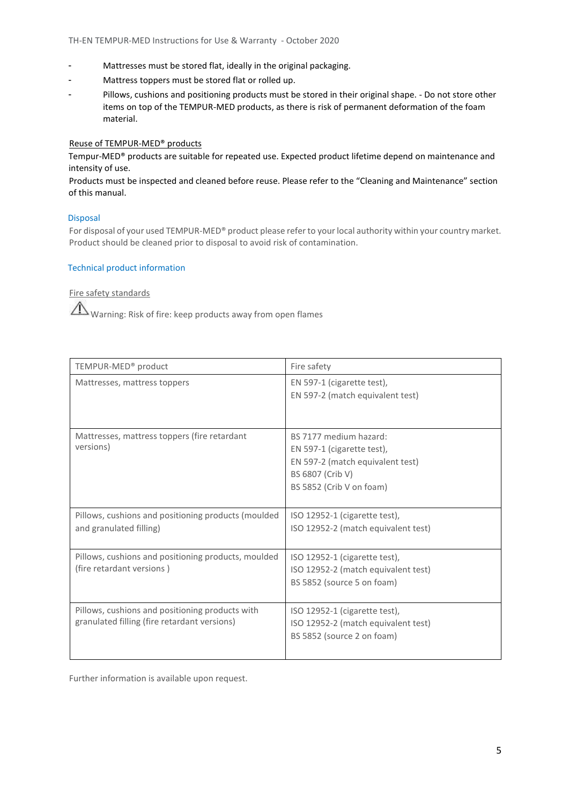- Mattresses must be stored flat, ideally in the original packaging.
- Mattress toppers must be stored flat or rolled up.
- Pillows, cushions and positioning products must be stored in their original shape. Do not store other items on top of the TEMPUR-MED products, as there is risk of permanent deformation of the foam material.

## Reuse of TEMPUR-MED® products

Tempur-MED® products are suitable for repeated use. Expected product lifetime depend on maintenance and intensity of use.

Products must be inspected and cleaned before reuse. Please refer to the "Cleaning and Maintenance" section of this manual.

## Disposal

For disposal of your used TEMPUR-MED® product please refer to your local authority within your country market. Product should be cleaned prior to disposal to avoid risk of contamination.

## Technical product information

Fire safety standards

Warning: Risk of fire: keep products away from open flames

| TEMPUR-MED <sup>®</sup> product                                                                 | Fire safety                                                                                                                              |  |
|-------------------------------------------------------------------------------------------------|------------------------------------------------------------------------------------------------------------------------------------------|--|
| Mattresses, mattress toppers                                                                    | EN 597-1 (cigarette test),<br>EN 597-2 (match equivalent test)                                                                           |  |
| Mattresses, mattress toppers (fire retardant<br>versions)                                       | BS 7177 medium hazard:<br>EN 597-1 (cigarette test),<br>EN 597-2 (match equivalent test)<br>BS 6807 (Crib V)<br>BS 5852 (Crib V on foam) |  |
| Pillows, cushions and positioning products (moulded<br>and granulated filling)                  | ISO 12952-1 (cigarette test),<br>ISO 12952-2 (match equivalent test)                                                                     |  |
| Pillows, cushions and positioning products, moulded<br>(fire retardant versions)                | ISO 12952-1 (cigarette test),<br>ISO 12952-2 (match equivalent test)<br>BS 5852 (source 5 on foam)                                       |  |
| Pillows, cushions and positioning products with<br>granulated filling (fire retardant versions) | ISO 12952-1 (cigarette test),<br>ISO 12952-2 (match equivalent test)<br>BS 5852 (source 2 on foam)                                       |  |

Further information is available upon request.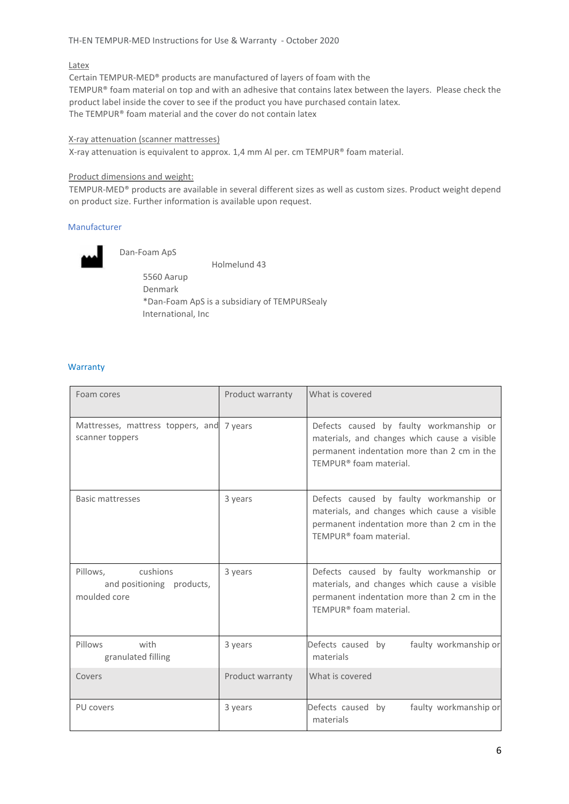## TH-EN TEMPUR-MED Instructions for Use & Warranty - October 2020

#### Latex

Certain TEMPUR-MED® products are manufactured of layers of foam with the TEMPUR® foam material on top and with an adhesive that contains latex between the layers. Please check the product label inside the cover to see if the product you have purchased contain latex. The TEMPUR® foam material and the cover do not contain latex

## X-ray attenuation (scanner mattresses)

X-ray attenuation is equivalent to approx. 1,4 mm Al per. cm TEMPUR® foam material.

#### Product dimensions and weight:

TEMPUR-MED® products are available in several different sizes as well as custom sizes. Product weight depend on product size. Further information is available upon request.

## Manufacturer



Dan-Foam ApS

Holmelund 43

5560 Aarup Denmark \*Dan-Foam ApS is a subsidiary of TEMPURSealy International, Inc

#### **Warranty**

| Foam cores                                                     | Product warranty | What is covered                                                                                                                                                              |  |
|----------------------------------------------------------------|------------------|------------------------------------------------------------------------------------------------------------------------------------------------------------------------------|--|
| Mattresses, mattress toppers, and 7 years<br>scanner toppers   |                  | Defects caused by faulty workmanship or<br>materials, and changes which cause a visible<br>permanent indentation more than 2 cm in the<br>TEMPUR <sup>®</sup> foam material. |  |
| <b>Basic mattresses</b>                                        | 3 years          | Defects caused by faulty workmanship or<br>materials, and changes which cause a visible<br>permanent indentation more than 2 cm in the<br>TEMPUR <sup>®</sup> foam material. |  |
| Pillows, cushions<br>and positioning products,<br>moulded core | 3 years          | Defects caused by faulty workmanship or<br>materials, and changes which cause a visible<br>permanent indentation more than 2 cm in the<br>TEMPUR <sup>®</sup> foam material. |  |
| Pillows<br>with<br>granulated filling                          | 3 years          | Defects caused by<br>faulty workmanship or<br>materials                                                                                                                      |  |
| Covers                                                         | Product warranty | What is covered                                                                                                                                                              |  |
| PU covers                                                      | 3 years          | Defects caused by<br>faulty workmanship or<br>materials                                                                                                                      |  |